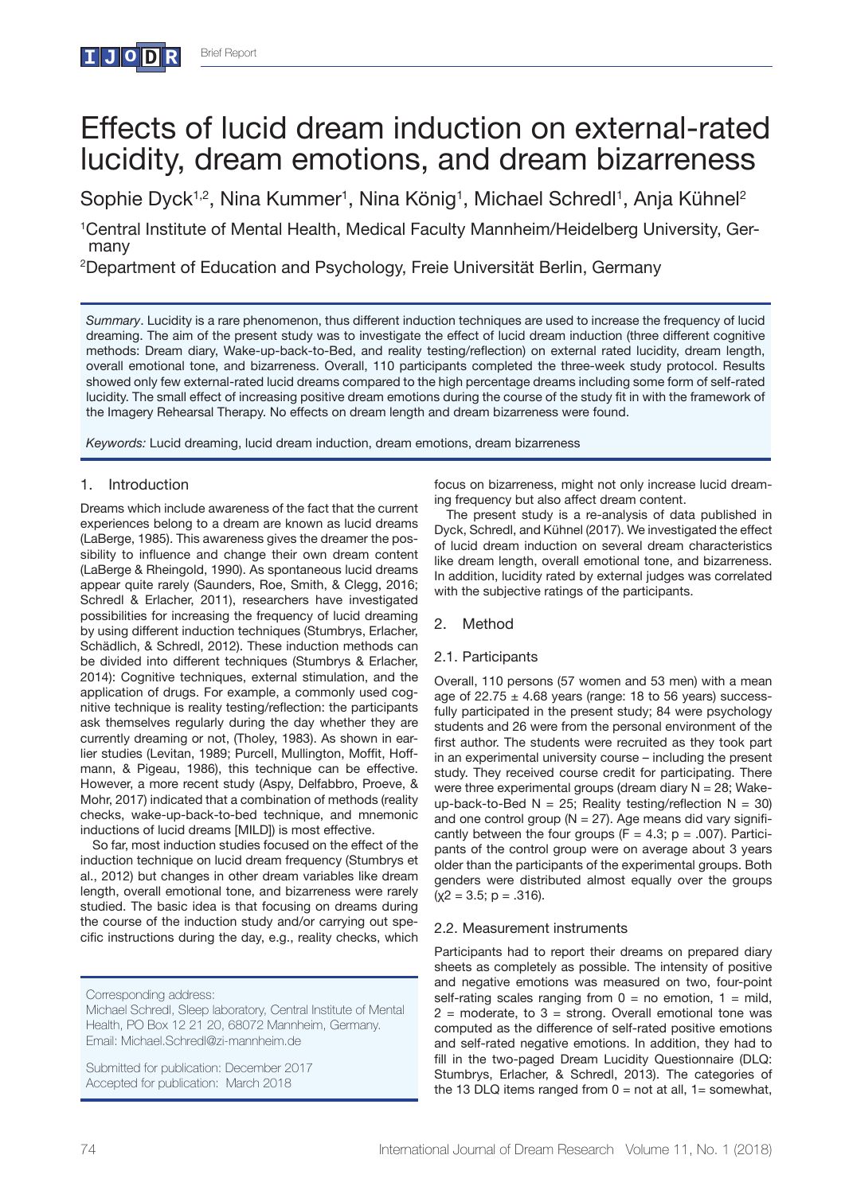# Effects of lucid dream induction on external-rated lucidity, dream emotions, and dream bizarreness

Sophie Dyck<sup>1,2</sup>, Nina Kummer<sup>1</sup>, Nina König<sup>1</sup>, Michael Schredl<sup>1</sup>, Anja Kühnel<sup>2</sup>

1 Central Institute of Mental Health, Medical Faculty Mannheim/Heidelberg University, Germany

2 Department of Education and Psychology, Freie Universität Berlin, Germany

*Summary*. Lucidity is a rare phenomenon, thus different induction techniques are used to increase the frequency of lucid dreaming. The aim of the present study was to investigate the effect of lucid dream induction (three different cognitive methods: Dream diary, Wake-up-back-to-Bed, and reality testing/reflection) on external rated lucidity, dream length, overall emotional tone, and bizarreness. Overall, 110 participants completed the three-week study protocol. Results showed only few external-rated lucid dreams compared to the high percentage dreams including some form of self-rated lucidity. The small effect of increasing positive dream emotions during the course of the study fit in with the framework of the Imagery Rehearsal Therapy. No effects on dream length and dream bizarreness were found.

*Keywords:* Lucid dreaming, lucid dream induction, dream emotions, dream bizarreness

## 1. Introduction

**I J o D R**

Dreams which include awareness of the fact that the current experiences belong to a dream are known as lucid dreams (LaBerge, 1985). This awareness gives the dreamer the possibility to influence and change their own dream content (LaBerge & Rheingold, 1990). As spontaneous lucid dreams appear quite rarely (Saunders, Roe, Smith, & Clegg, 2016; Schredl & Erlacher, 2011), researchers have investigated possibilities for increasing the frequency of lucid dreaming by using different induction techniques (Stumbrys, Erlacher, Schädlich, & Schredl, 2012). These induction methods can be divided into different techniques (Stumbrys & Erlacher, 2014): Cognitive techniques, external stimulation, and the application of drugs. For example, a commonly used cognitive technique is reality testing/reflection: the participants ask themselves regularly during the day whether they are currently dreaming or not, (Tholey, 1983). As shown in earlier studies (Levitan, 1989; Purcell, Mullington, Moffit, Hoffmann, & Pigeau, 1986), this technique can be effective. However, a more recent study (Aspy, Delfabbro, Proeve, & Mohr, 2017) indicated that a combination of methods (reality checks, wake-up-back-to-bed technique, and mnemonic inductions of lucid dreams [MILD]) is most effective.

So far, most induction studies focused on the effect of the induction technique on lucid dream frequency (Stumbrys et al., 2012) but changes in other dream variables like dream length, overall emotional tone, and bizarreness were rarely studied. The basic idea is that focusing on dreams during the course of the induction study and/or carrying out specific instructions during the day, e.g., reality checks, which

Submitted for publication: December 2017 Accepted for publication: March 2018

focus on bizarreness, might not only increase lucid dreaming frequency but also affect dream content.

The present study is a re-analysis of data published in Dyck, Schredl, and Kühnel (2017). We investigated the effect of lucid dream induction on several dream characteristics like dream length, overall emotional tone, and bizarreness. In addition, lucidity rated by external judges was correlated with the subjective ratings of the participants.

## 2. Method

## 2.1. Participants

Overall, 110 persons (57 women and 53 men) with a mean age of  $22.75 \pm 4.68$  years (range: 18 to 56 years) successfully participated in the present study; 84 were psychology students and 26 were from the personal environment of the first author. The students were recruited as they took part in an experimental university course – including the present study. They received course credit for participating. There were three experimental groups (dream diary  $N = 28$ ; Wakeup-back-to-Bed N = 25; Reality testing/reflection N = 30) and one control group ( $N = 27$ ). Age means did vary significantly between the four groups ( $F = 4.3$ ; p = .007). Participants of the control group were on average about 3 years older than the participants of the experimental groups. Both genders were distributed almost equally over the groups  $(x2 = 3.5; p = .316)$ .

#### 2.2. Measurement instruments

Participants had to report their dreams on prepared diary sheets as completely as possible. The intensity of positive and negative emotions was measured on two, four-point self-rating scales ranging from  $0 =$  no emotion,  $1 =$  mild,  $2$  = moderate, to  $3$  = strong. Overall emotional tone was computed as the difference of self-rated positive emotions and self-rated negative emotions. In addition, they had to fill in the two-paged Dream Lucidity Questionnaire (DLQ: Stumbrys, Erlacher, & Schredl, 2013). The categories of the 13 DLQ items ranged from  $0 = \text{not at all}, 1 = \text{somewhat},$ 

Corresponding address:

Michael Schredl, Sleep laboratory, Central Institute of Mental Health, PO Box 12 21 20, 68072 Mannheim, Germany. Email: Michael.Schredl@zi-mannheim.de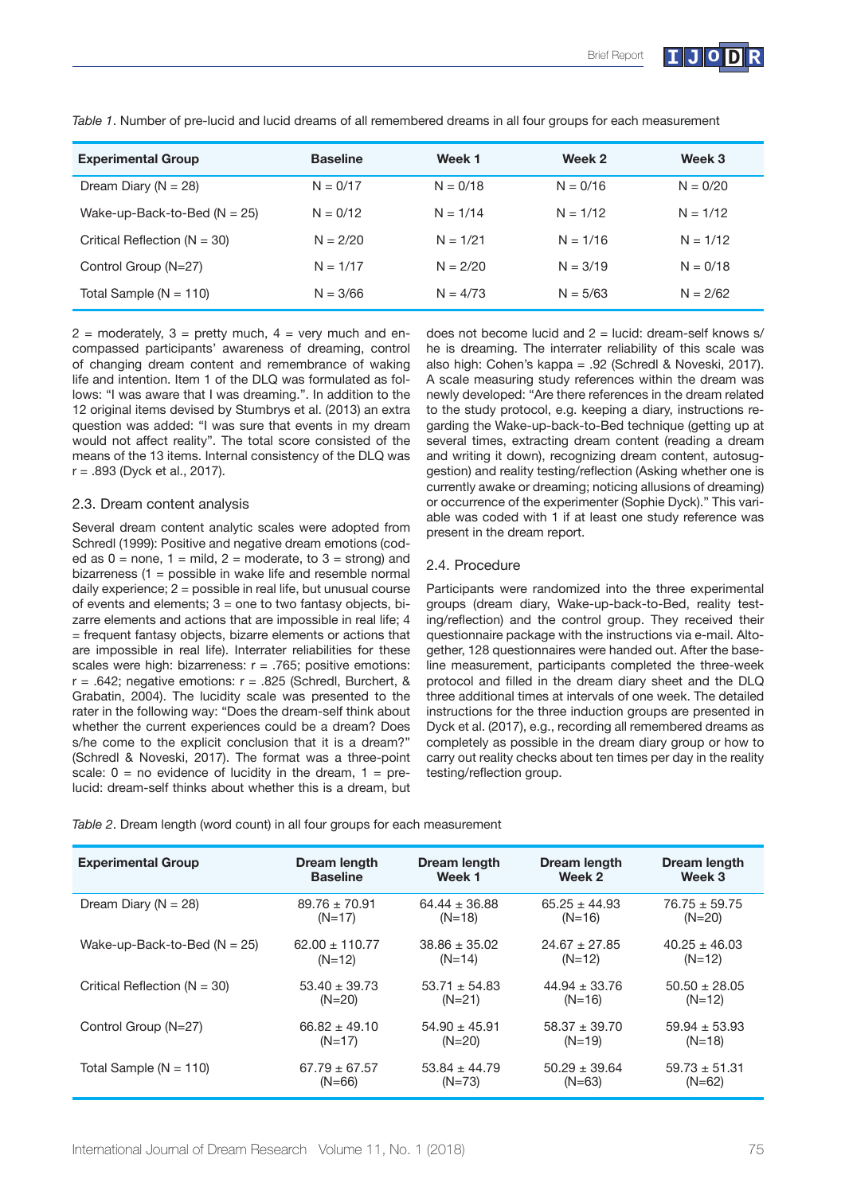

| <b>Experimental Group</b>        | <b>Baseline</b> | Week 1     | Week 2     | Week 3     |
|----------------------------------|-----------------|------------|------------|------------|
| Dream Diary ( $N = 28$ )         | $N = 0/17$      | $N = 0/18$ | $N = 0/16$ | $N = 0/20$ |
| Wake-up-Back-to-Bed ( $N = 25$ ) | $N = 0/12$      | $N = 1/14$ | $N = 1/12$ | $N = 1/12$ |
| Critical Reflection ( $N = 30$ ) | $N = 2/20$      | $N = 1/21$ | $N = 1/16$ | $N = 1/12$ |
| Control Group (N=27)             | $N = 1/17$      | $N = 2/20$ | $N = 3/19$ | $N = 0/18$ |
| Total Sample ( $N = 110$ )       | $N = 3/66$      | $N = 4/73$ | $N = 5/63$ | $N = 2/62$ |

*Table 1*. Number of pre-lucid and lucid dreams of all remembered dreams in all four groups for each measurement

 $2 =$  moderately,  $3 =$  pretty much,  $4 =$  very much and encompassed participants' awareness of dreaming, control of changing dream content and remembrance of waking life and intention. Item 1 of the DLQ was formulated as follows: "I was aware that I was dreaming.". In addition to the 12 original items devised by Stumbrys et al. (2013) an extra question was added: "I was sure that events in my dream would not affect reality". The total score consisted of the means of the 13 items. Internal consistency of the DLQ was r = .893 (Dyck et al., 2017).

#### 2.3. Dream content analysis

Several dream content analytic scales were adopted from Schredl (1999): Positive and negative dream emotions (coded as  $0 =$  none,  $1 =$  mild,  $2 =$  moderate, to  $3 =$  strong) and bizarreness (1 = possible in wake life and resemble normal daily experience;  $2 =$  possible in real life, but unusual course of events and elements;  $3 =$  one to two fantasy objects, bizarre elements and actions that are impossible in real life; 4 = frequent fantasy objects, bizarre elements or actions that are impossible in real life). Interrater reliabilities for these scales were high: bizarreness:  $r = .765$ : positive emotions:  $r = .642$ ; negative emotions:  $r = .825$  (Schredl, Burchert, & Grabatin, 2004). The lucidity scale was presented to the rater in the following way: "Does the dream-self think about whether the current experiences could be a dream? Does s/he come to the explicit conclusion that it is a dream?" (Schredl & Noveski, 2017). The format was a three-point scale:  $0 =$  no evidence of lucidity in the dream,  $1 =$  prelucid: dream-self thinks about whether this is a dream, but

does not become lucid and 2 = lucid: dream-self knows s/ he is dreaming. The interrater reliability of this scale was also high: Cohen's kappa = .92 (Schredl & Noveski, 2017). A scale measuring study references within the dream was newly developed: "Are there references in the dream related to the study protocol, e.g. keeping a diary, instructions regarding the Wake-up-back-to-Bed technique (getting up at several times, extracting dream content (reading a dream and writing it down), recognizing dream content, autosuggestion) and reality testing/reflection (Asking whether one is currently awake or dreaming; noticing allusions of dreaming) or occurrence of the experimenter (Sophie Dyck)." This variable was coded with 1 if at least one study reference was present in the dream report.

## 2.4. Procedure

Participants were randomized into the three experimental groups (dream diary, Wake-up-back-to-Bed, reality testing/reflection) and the control group. They received their questionnaire package with the instructions via e-mail. Altogether, 128 questionnaires were handed out. After the baseline measurement, participants completed the three-week protocol and filled in the dream diary sheet and the DLQ three additional times at intervals of one week. The detailed instructions for the three induction groups are presented in Dyck et al. (2017), e.g., recording all remembered dreams as completely as possible in the dream diary group or how to carry out reality checks about ten times per day in the reality testing/reflection group.

*Table 2*. Dream length (word count) in all four groups for each measurement

| <b>Experimental Group</b>        | Dream length       | Dream length      | Dream length      | Dream length      |
|----------------------------------|--------------------|-------------------|-------------------|-------------------|
|                                  | <b>Baseline</b>    | Week 1            | Week 2            | Week 3            |
| Dream Diary ( $N = 28$ )         | $89.76 \pm 70.91$  | $64.44 \pm 36.88$ | $65.25 \pm 44.93$ | $76.75 \pm 59.75$ |
|                                  | $(N=17)$           | $(N=18)$          | $(N=16)$          | $(N=20)$          |
| Wake-up-Back-to-Bed ( $N = 25$ ) | $62.00 \pm 110.77$ | $38.86 \pm 35.02$ | $24.67 \pm 27.85$ | $40.25 \pm 46.03$ |
|                                  | $(N=12)$           | $(N=14)$          | $(N=12)$          | $(N=12)$          |
| Critical Reflection ( $N = 30$ ) | $53.40 \pm 39.73$  | $53.71 + 54.83$   | $44.94 + 33.76$   | $50.50 \pm 28.05$ |
|                                  | $(N=20)$           | $(N=21)$          | $(N=16)$          | $(N=12)$          |
| Control Group (N=27)             | $66.82 \pm 49.10$  | $54.90 \pm 45.91$ | $58.37 \pm 39.70$ | $59.94 \pm 53.93$ |
|                                  | $(N=17)$           | $(N=20)$          | $(N=19)$          | $(N=18)$          |
| Total Sample ( $N = 110$ )       | $67.79 \pm 67.57$  | $53.84 \pm 44.79$ | $50.29 \pm 39.64$ | $59.73 \pm 51.31$ |
|                                  | $(N=66)$           | $(N=73)$          | $(N=63)$          | $(N=62)$          |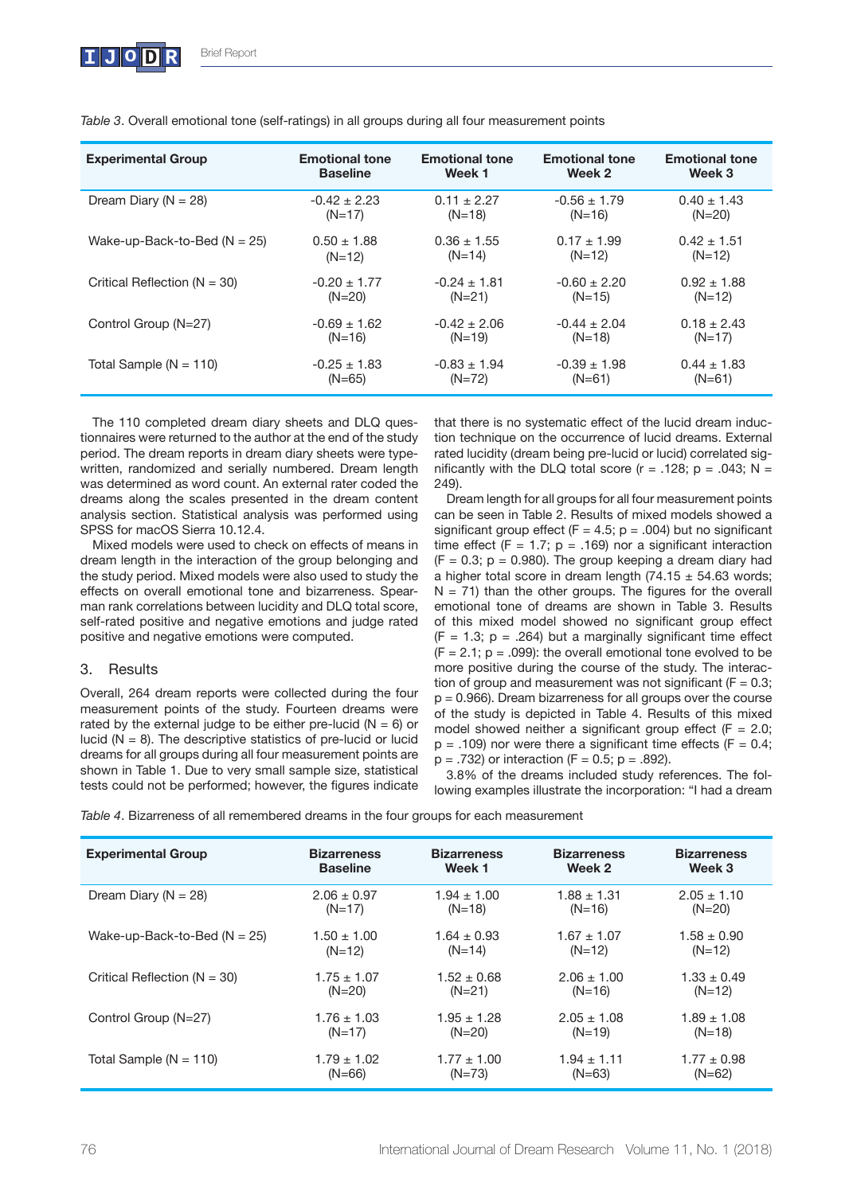| <b>Experimental Group</b>        | <b>Emotional tone</b> | <b>Emotional tone</b> | <b>Emotional tone</b> | <b>Emotional tone</b> |
|----------------------------------|-----------------------|-----------------------|-----------------------|-----------------------|
|                                  | <b>Baseline</b>       | Week 1                | Week 2                | Week 3                |
| Dream Diary ( $N = 28$ )         | $-0.42 \pm 2.23$      | $0.11 \pm 2.27$       | $-0.56 \pm 1.79$      | $0.40 \pm 1.43$       |
|                                  | $(N=17)$              | $(N=18)$              | $(N=16)$              | $(N=20)$              |
| Wake-up-Back-to-Bed ( $N = 25$ ) | $0.50 \pm 1.88$       | $0.36 \pm 1.55$       | $0.17 \pm 1.99$       | $0.42 \pm 1.51$       |
|                                  | $(N=12)$              | $(N=14)$              | $(N=12)$              | $(N=12)$              |
| Critical Reflection ( $N = 30$ ) | $-0.20 \pm 1.77$      | $-0.24 \pm 1.81$      | $-0.60 \pm 2.20$      | $0.92 \pm 1.88$       |
|                                  | $(N=20)$              | $(N=21)$              | $(N=15)$              | $(N=12)$              |
| Control Group (N=27)             | $-0.69 \pm 1.62$      | $-0.42 \pm 2.06$      | $-0.44 + 2.04$        | $0.18 \pm 2.43$       |
|                                  | $(N=16)$              | $(N=19)$              | $(N=18)$              | $(N=17)$              |
| Total Sample ( $N = 110$ )       | $-0.25 \pm 1.83$      | $-0.83 \pm 1.94$      | $-0.39 \pm 1.98$      | $0.44 \pm 1.83$       |
|                                  | $(N=65)$              | $(N=72)$              | $(N=61)$              | $(N=61)$              |

*Table 3*. Overall emotional tone (self-ratings) in all groups during all four measurement points

The 110 completed dream diary sheets and DLQ questionnaires were returned to the author at the end of the study period. The dream reports in dream diary sheets were typewritten, randomized and serially numbered. Dream length was determined as word count. An external rater coded the dreams along the scales presented in the dream content analysis section. Statistical analysis was performed using SPSS for macOS Sierra 10.12.4.

Mixed models were used to check on effects of means in dream length in the interaction of the group belonging and the study period. Mixed models were also used to study the effects on overall emotional tone and bizarreness. Spearman rank correlations between lucidity and DLQ total score, self-rated positive and negative emotions and judge rated positive and negative emotions were computed.

## 3. Results

Overall, 264 dream reports were collected during the four measurement points of the study. Fourteen dreams were rated by the external judge to be either pre-lucid  $(N = 6)$  or lucid ( $N = 8$ ). The descriptive statistics of pre-lucid or lucid dreams for all groups during all four measurement points are shown in Table 1. Due to very small sample size, statistical tests could not be performed; however, the figures indicate that there is no systematic effect of the lucid dream induction technique on the occurrence of lucid dreams. External rated lucidity (dream being pre-lucid or lucid) correlated significantly with the DLQ total score ( $r = .128$ ; p = .043; N = 249).

Dream length for all groups for all four measurement points can be seen in Table 2. Results of mixed models showed a significant group effect ( $F = 4.5$ ; p = .004) but no significant time effect (F = 1.7;  $p = .169$ ) nor a significant interaction  $(F = 0.3; p = 0.980)$ . The group keeping a dream diary had a higher total score in dream length (74.15  $\pm$  54.63 words;  $N = 71$ ) than the other groups. The figures for the overall emotional tone of dreams are shown in Table 3. Results of this mixed model showed no significant group effect  $(F = 1.3; p = .264)$  but a marginally significant time effect  $(F = 2.1; p = .099)$ : the overall emotional tone evolved to be more positive during the course of the study. The interaction of group and measurement was not significant ( $F = 0.3$ ;  $p = 0.966$ ). Dream bizarreness for all groups over the course of the study is depicted in Table 4. Results of this mixed model showed neither a significant group effect ( $F = 2.0$ ;  $p = .109$ ) nor were there a significant time effects (F = 0.4;  $p = .732$ ) or interaction (F = 0.5;  $p = .892$ ).

3.8% of the dreams included study references. The following examples illustrate the incorporation: "I had a dream

*Table 4*. Bizarreness of all remembered dreams in the four groups for each measurement

| <b>Experimental Group</b>        | <b>Bizarreness</b> | <b>Bizarreness</b> | <b>Bizarreness</b> | <b>Bizarreness</b> |
|----------------------------------|--------------------|--------------------|--------------------|--------------------|
|                                  | <b>Baseline</b>    | Week 1             | Week 2             | Week 3             |
| Dream Diary ( $N = 28$ )         | $2.06 \pm 0.97$    | $1.94 \pm 1.00$    | $1.88 \pm 1.31$    | $2.05 \pm 1.10$    |
|                                  | $(N=17)$           | $(N=18)$           | $(N=16)$           | $(N=20)$           |
| Wake-up-Back-to-Bed ( $N = 25$ ) | $1.50 \pm 1.00$    | $1.64 \pm 0.93$    | $1.67 \pm 1.07$    | $1.58 \pm 0.90$    |
|                                  | $(N=12)$           | $(N=14)$           | $(N=12)$           | $(N=12)$           |
| Critical Reflection ( $N = 30$ ) | $1.75 \pm 1.07$    | $1.52 \pm 0.68$    | $2.06 \pm 1.00$    | $1.33 \pm 0.49$    |
|                                  | $(N=20)$           | $(N=21)$           | $(N=16)$           | $(N=12)$           |
| Control Group (N=27)             | $1.76 \pm 1.03$    | $1.95 \pm 1.28$    | $2.05 \pm 1.08$    | $1.89 \pm 1.08$    |
|                                  | $(N=17)$           | $(N=20)$           | $(N=19)$           | $(N=18)$           |
| Total Sample ( $N = 110$ )       | $1.79 \pm 1.02$    | $1.77 \pm 1.00$    | $1.94 \pm 1.11$    | $1.77 \pm 0.98$    |
|                                  | $(N=66)$           | $(N=73)$           | $(N=63)$           | $(N=62)$           |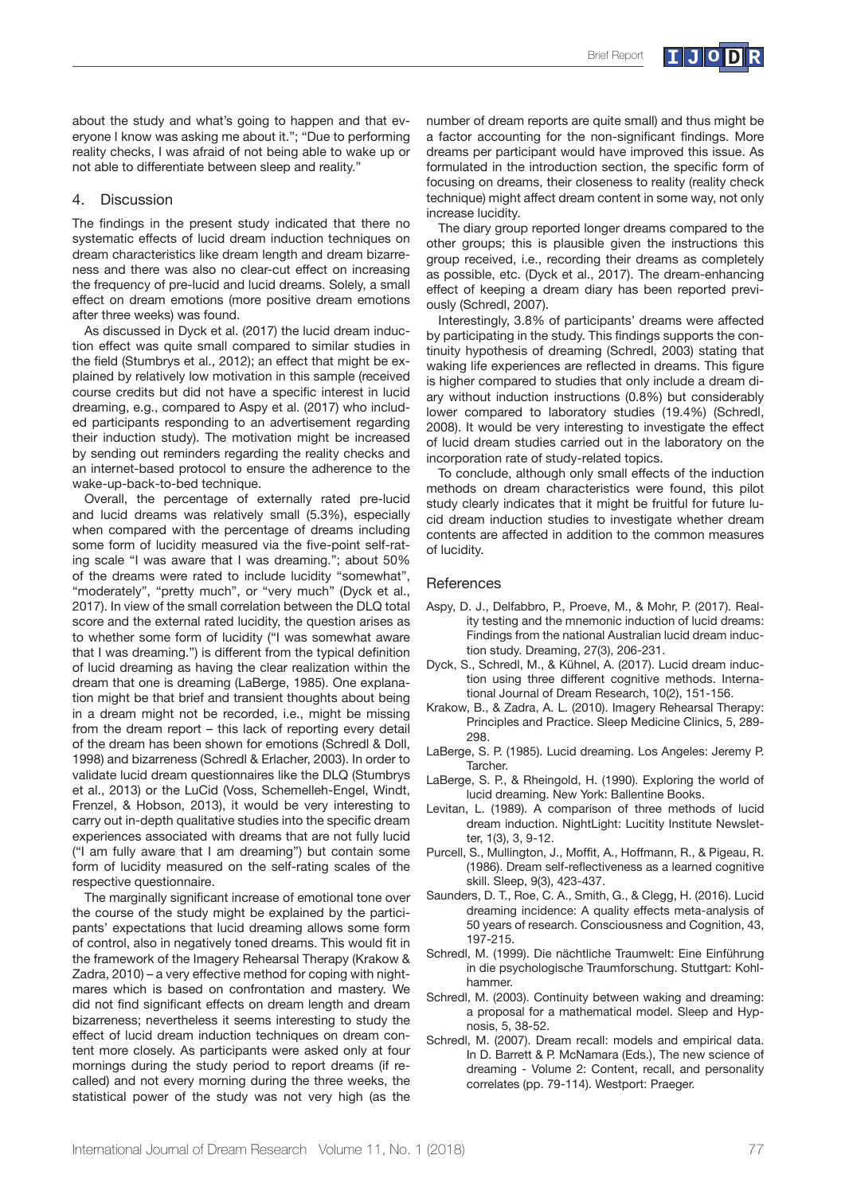about the study and what's going to happen and that everyone I know was asking me about it."; "Due to performing reality checks, I was afraid of not being able to wake up or not able to differentiate between sleep and reality."

### 4. Discussion

The findings in the present study indicated that there no systematic effects of lucid dream induction techniques on dream characteristics like dream length and dream bizarreness and there was also no clear-cut effect on increasing the frequency of pre-lucid and lucid dreams. Solely, a small effect on dream emotions (more positive dream emotions after three weeks) was found.

As discussed in Dyck et al. (2017) the lucid dream induction effect was quite small compared to similar studies in the field (Stumbrys et al., 2012); an effect that might be explained by relatively low motivation in this sample (received course credits but did not have a specific interest in lucid dreaming, e.g., compared to Aspy et al. (2017) who included participants responding to an advertisement regarding their induction study). The motivation might be increased by sending out reminders regarding the reality checks and an internet-based protocol to ensure the adherence to the wake-up-back-to-bed technique.

Overall, the percentage of externally rated pre-lucid and lucid dreams was relatively small (5.3%), especially when compared with the percentage of dreams including some form of lucidity measured via the five-point self-rating scale "I was aware that I was dreaming."; about 50% of the dreams were rated to include lucidity "somewhat", "moderately", "pretty much", or "very much" (Dyck et al., 2017). In view of the small correlation between the DLQ total score and the external rated lucidity, the question arises as to whether some form of lucidity ("I was somewhat aware that I was dreaming.") is different from the typical definition of lucid dreaming as having the clear realization within the dream that one is dreaming (LaBerge, 1985). One explanation might be that brief and transient thoughts about being in a dream might not be recorded, i.e., might be missing from the dream report – this lack of reporting every detail of the dream has been shown for emotions (Schredl & Doll, 1998) and bizarreness (Schredl & Erlacher, 2003). In order to validate lucid dream questionnaires like the DLQ (Stumbrys et al., 2013) or the LuCid (Voss, Schemelleh-Engel, Windt, Frenzel, & Hobson, 2013), it would be very interesting to carry out in-depth qualitative studies into the specific dream experiences associated with dreams that are not fully lucid ("I am fully aware that I am dreaming") but contain some form of lucidity measured on the self-rating scales of the respective questionnaire.

The marginally significant increase of emotional tone over the course of the study might be explained by the participants' expectations that lucid dreaming allows some form of control, also in negatively toned dreams. This would fit in the framework of the Imagery Rehearsal Therapy (Krakow & Zadra, 2010) – a very effective method for coping with nightmares which is based on confrontation and mastery. We did not find significant effects on dream length and dream bizarreness; nevertheless it seems interesting to study the effect of lucid dream induction techniques on dream content more closely. As participants were asked only at four mornings during the study period to report dreams (if recalled) and not every morning during the three weeks, the statistical power of the study was not very high (as the

number of dream reports are quite small) and thus might be a factor accounting for the non-significant findings. More dreams per participant would have improved this issue. As formulated in the introduction section, the specific form of focusing on dreams, their closeness to reality (reality check technique) might affect dream content in some way, not only increase lucidity.

The diary group reported longer dreams compared to the other groups; this is plausible given the instructions this group received, i.e., recording their dreams as completely as possible, etc. (Dyck et al., 2017). The dream-enhancing effect of keeping a dream diary has been reported previously (Schredl, 2007).

Interestingly, 3.8% of participants' dreams were affected by participating in the study. This findings supports the continuity hypothesis of dreaming (Schredl, 2003) stating that waking life experiences are reflected in dreams. This figure is higher compared to studies that only include a dream diary without induction instructions (0.8%) but considerably lower compared to laboratory studies (19.4%) (Schredl, 2008). It would be very interesting to investigate the effect of lucid dream studies carried out in the laboratory on the incorporation rate of study-related topics.

To conclude, although only small effects of the induction methods on dream characteristics were found, this pilot study clearly indicates that it might be fruitful for future lucid dream induction studies to investigate whether dream contents are affected in addition to the common measures of lucidity.

#### **References**

- Aspy, D. J., Delfabbro, P., Proeve, M., & Mohr, P. (2017). Reality testing and the mnemonic induction of lucid dreams: Findings from the national Australian lucid dream induction study. Dreaming, 27(3), 206-231.
- Dyck, S., Schredl, M., & Kühnel, A. (2017). Lucid dream induction using three different cognitive methods. International Journal of Dream Research, 10(2), 151-156.
- Krakow, B., & Zadra, A. L. (2010). Imagery Rehearsal Therapy: Principles and Practice. Sleep Medicine Clinics, 5, 289- 298.
- LaBerge, S. P. (1985). Lucid dreaming. Los Angeles: Jeremy P. Tarcher.
- LaBerge, S. P., & Rheingold, H. (1990). Exploring the world of lucid dreaming. New York: Ballentine Books.
- Levitan, L. (1989). A comparison of three methods of lucid dream induction. NightLight: Lucitity Institute Newsletter, 1(3), 3, 9-12.
- Purcell, S., Mullington, J., Moffit, A., Hoffmann, R., & Pigeau, R. (1986). Dream self-reflectiveness as a learned cognitive skill. Sleep, 9(3), 423-437.
- Saunders, D. T., Roe, C. A., Smith, G., & Clegg, H. (2016). Lucid dreaming incidence: A quality effects meta-analysis of 50 years of research. Consciousness and Cognition, 43, 197-215.
- Schredl, M. (1999). Die nächtliche Traumwelt: Eine Einführung in die psychologische Traumforschung. Stuttgart: Kohlhammer.
- Schredl, M. (2003). Continuity between waking and dreaming: a proposal for a mathematical model. Sleep and Hypnosis, 5, 38-52.
- Schredl, M. (2007). Dream recall: models and empirical data. In D. Barrett & P. McNamara (Eds.), The new science of dreaming - Volume 2: Content, recall, and personality correlates (pp. 79-114). Westport: Praeger.